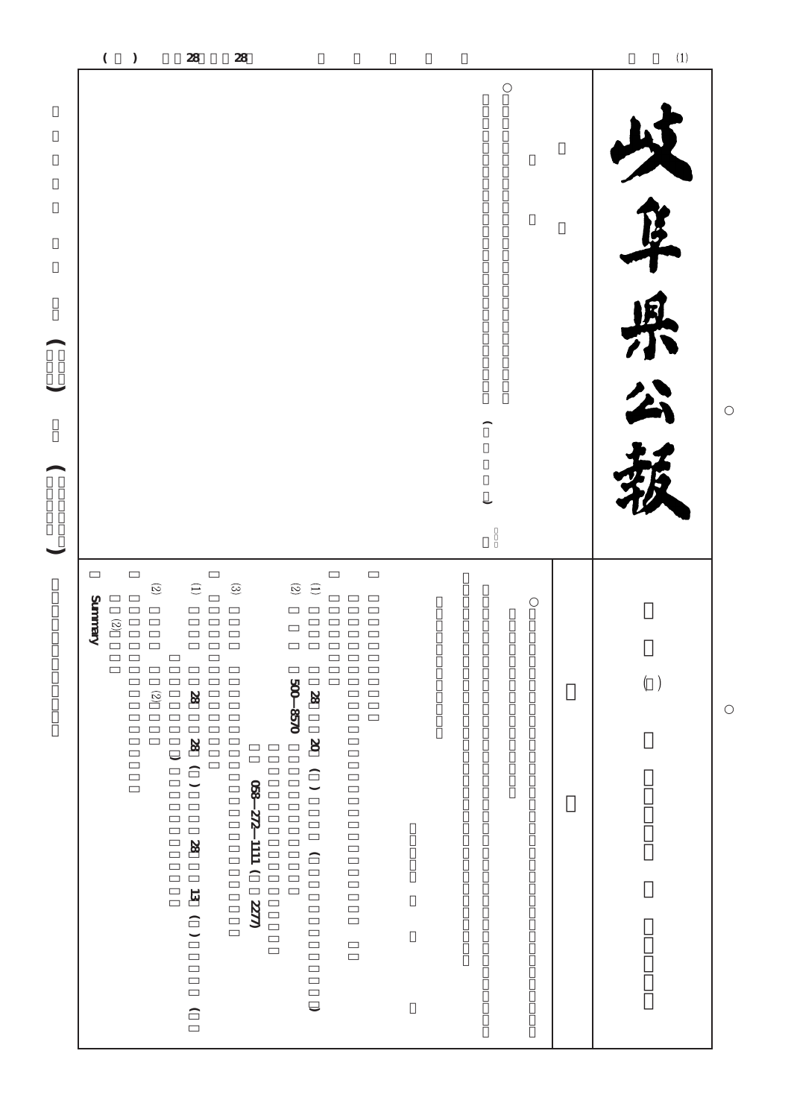| $\begin{pmatrix} 1 \\ -1 \end{pmatrix}$<br>$\frown$ |                                        |                         |                                                                                                     |                      |                                                                                                                 |  |  | $\overline{a}$<br>ķ<br>県公 |
|-----------------------------------------------------|----------------------------------------|-------------------------|-----------------------------------------------------------------------------------------------------|----------------------|-----------------------------------------------------------------------------------------------------------------|--|--|---------------------------|
|                                                     | <b>Zummary</b><br>$\widehat{\text{S}}$ | $\widehat{\mathcal{C}}$ | $\left( \begin{array}{c} 1 \end{array} \right)$                                                     | $\odot$              | $\begin{array}{c} \textcircled{\small 1} \\ \textcircled{\small 2} \end{array}$                                 |  |  |                           |
|                                                     |                                        | $\widehat{\infty}$      | $\otimes$<br>$( ) 8$<br>$\overline{\phantom{0}}$<br>$\infty$<br>$13( )$<br>$\overline{\phantom{1}}$ | 028 272 1111 272 820 | $\frac{1}{200}$ 8570<br>$\otimes$<br>$( ) \quad \infty$<br>$\overline{\phantom{1}}$<br>$\overline{\phantom{0}}$ |  |  | $(\phantom{x})$           |